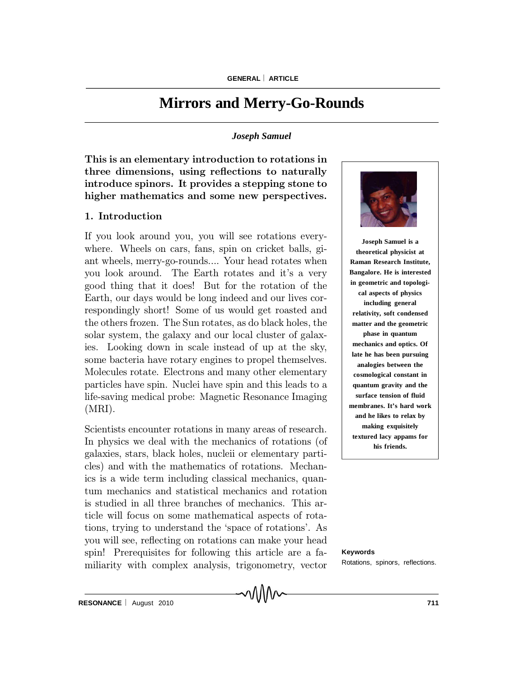# **Mirrors and Merry-Go-Rounds**

## *Joseph Samuel*

This is an elementary introduction to rotations in three dimensions, using reflections to naturally introduce spinors. It provides a stepping stone to higher mathematics and some new perspectives.

# 1. Introduction

Molecules rotate. Electrons and many other elementary sosmological constant in particles have spin. Nuclei have spin and this leads to a  $\qquad \qquad |$  quantum gravity and the life-saving medical probe: Magnetic Resonance Imaging | surface tension of fluid | If you look around you, you will see rotations everywhere. Wheels on cars, fans, spin on cricket balls, giant wheels, merry-go-rounds.... Your head rotates when you look around. The Earth rotates and it's a very good thing that it does! But for the rotation of the Earth, our days would be long indeed and our lives correspondingly short! Some of us would get roasted and the others frozen. The Sun rotates, as do black holes, the solar system, the galaxy and our local cluster of galaxies. Looking down in scale instead of up at the sky, some bacteria have rotary engines to propel themselves. (MRI).

Scientists encounter rotations in many areas of research. In physics we deal with the mechanics of rotations (of galaxies, stars, black holes, nucleii or elementary particles) and with the mathematics of rotations. Mechanics is a wide term including classical mechanics, quantum mechanics and statistical mechanics and rotation is studied in all three branches of mechanics. This article will focus on some mathematical aspects of rotations, trying to understand the `space of rotations'. As you will see, reflecting on rotations can make your head spin! Prerequisites for following this article are a familiarity with complex analysis, trigonometry, vector

∿∧∧∧∼



**Joseph Samuel is a theoretical physicist at Raman Research Institute, Bangalore. He is interested in geometric and topological aspects of physics including general relativity, soft condensed matter and the geometric phase in quantum mechanics and optics. Of late he has been pursuing analogies between the cosmological constant in quantum gravity and the surface tension of fluid membranes. It's hard work and he likes to relax by making exquisitely textured lacy appams for his friends.**

**Keywords** Rotations, spinors, reflections.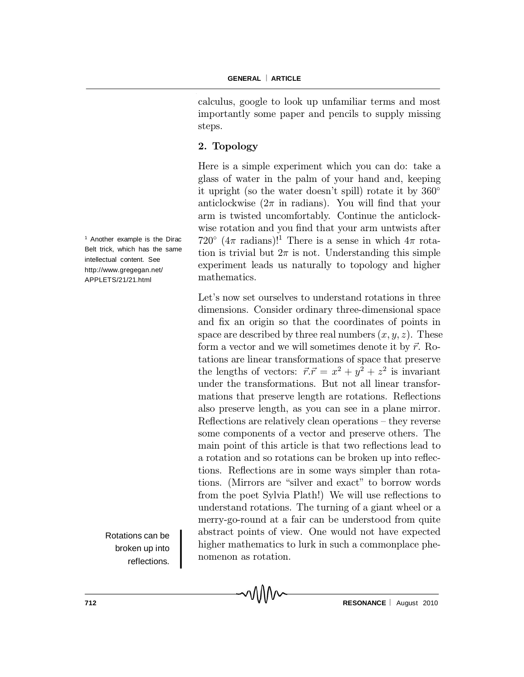calculus, google to look up unfamiliar terms and most importantly some paper and pencils to supply missing steps.

# 2. Topology

Here is a simple experiment which you can do: take a glass of water in the palm of your hand and, keeping it upright (so the water doesn't spill) rotate it by  $360^{\circ}$ anticlockwise  $(2\pi$  in radians). You will find that your arm is twisted uncomfortably. Continue the anticlockwise rotation and you find that your arm untwists after 720°  $(4\pi \text{ radians})!^1$  There is a sense in which  $4\pi$  rotation is trivial but  $2\pi$  is not. Understanding this simple experiment leads us naturally to topology and higher mathematics.

Let's now set ourselves to understand rotations in three dimensions. Consider ordinary three-dimensional space and fix an origin so that the coordinates of points in space are described by three real numbers  $(x, y, z)$ . These form a vector and we will sometimes denote it by  $\vec{r}$ . Rotations are linear transformations of space that preserve the lengths of vectors:  $\vec{r} \cdot \vec{r} = x^2 + y^2 + z^2$  is invariant under the transformations. But not all linear transformations that preserve length are rotations. Reflections also preserve length, as you can see in a plane mirror. Reflections are relatively clean operations  $-$  they reverse some components of a vector and preserve others. The main point of this article is that two reflections lead to a rotation and so rotations can be broken up into reflections. Reflections are in some ways simpler than rotations. (Mirrors are "silver and exact" to borrow words from the poet Sylvia Plath!) We will use reflections to understand rotations. The turning of a giant wheel or a merry-go-round at a fair can be understood from quite abstract points of view. One would not have expected higher mathematics to lurk in such a commonplace phenomenon as rotation.

MMM

<sup>1</sup> Another example is the Dirac Belt trick, which has the same intellectual content. See http://www.gregegan.net/ APPLETS/21/21.html

> Rotations can be broken up into reflections.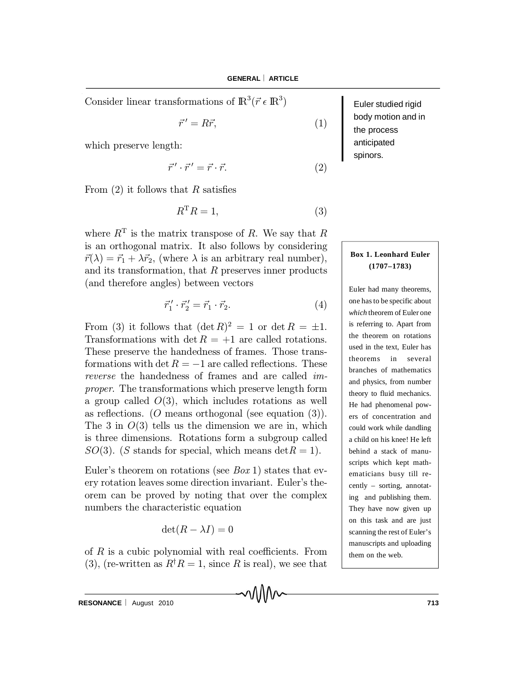Consider linear transformations of  $\mathbb{R}^3(\vec{r} \in \mathbb{R}^3)$ 

$$
\vec{r}' = R\vec{r},\tag{1}
$$

which preserve length:

$$
\vec{r}' \cdot \vec{r}' = \vec{r} \cdot \vec{r}.\tag{2}
$$

From  $(2)$  it follows that R satisfies

$$
R^{\mathrm{T}}R = 1,\tag{3}
$$

where  $R<sup>T</sup>$  is the matrix transpose of R. We say that R is an orthogonal matrix. It also follows by considering  $\vec{r}(\lambda) = \vec{r}_1 + \lambda \vec{r}_2$ , (where  $\lambda$  is an arbitrary real number), and its transformation, that  $R$  preserves inner products (and therefore angles) between vectors

$$
\vec{r}_1' \cdot \vec{r}_2' = \vec{r}_1 \cdot \vec{r}_2. \tag{4}
$$

From (3) it follows that  $(\det R)^2 = 1$  or  $\det R = \pm 1$ . Transformations with det  $R = +1$  are called rotations. These preserve the handedness of frames. Those transformations with det  $R = -1$  are called reflections. These reverse the handedness of frames and are called improper. The transformations which preserve length form a group called  $O(3)$ , which includes rotations as well as reflections. (O means orthogonal (see equation  $(3)$ ). The 3 in  $O(3)$  tells us the dimension we are in, which is three dimensions. Rotations form a subgroup called  $SO(3)$ . (S stands for special, which means  $\det R = 1$ ).

Euler's theorem on rotations (see  $Box 1$ ) states that every rotation leaves some direction invariant. Euler's theorem can be proved by noting that over the complex numbers the characteristic equation

 $\det(R - \lambda I) = 0$ 

of  $R$  is a cubic polynomial with real coefficients. From (3), (re-written as  $R^{\dagger}R = 1$ , since R is real), we see that

MM

Euler studied rigid body motion and in the process anticipated spinors.

# **Box 1. Leonhard Euler (1707–1783)**

Euler had many theorems, one has to be specific about *which* theorem of Euler one is referring to. Apart from the theorem on rotations used in the text, Euler has theorems in several branches of mathematics and physics, from number theory to fluid mechanics. He had phenomenal powers of concentration and could work while dandling a child on his knee! He left behind a stack of manuscripts which kept mathematicians busy till recently – sorting, annotating and publishing them. They have now given up on this task and are just scanning the rest of Euler's manuscripts and uploading them on the web.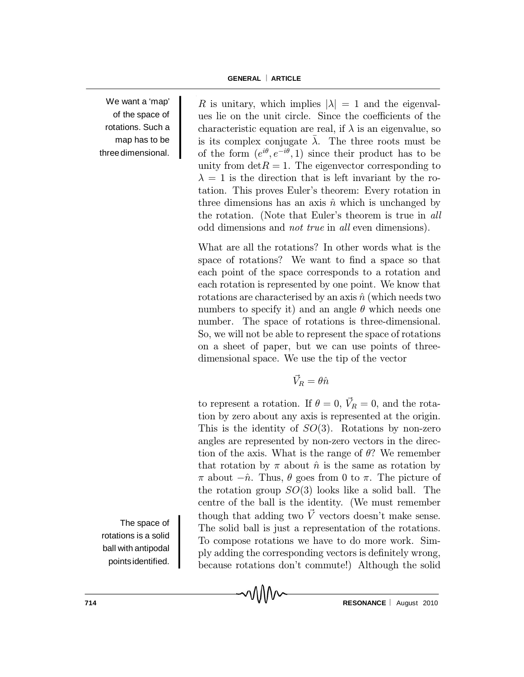We want a 'map' of the space of rotations. Such a map has to be threedimensional.

R is unitary, which implies  $|\lambda| = 1$  and the eigenvalues lie on the unit circle. Since the coefficients of the characteristic equation are real, if  $\lambda$  is an eigenvalue, so is its complex conjugate  $\overline{\lambda}$ . The three roots must be of the form  $(e^{i\theta}, e^{-i\theta}, 1)$  since their product has to be unity from  $\det R = 1$ . The eigenvector corresponding to  $\lambda = 1$  is the direction that is left invariant by the rotation. This proves Euler's theorem: Every rotation in three dimensions has an axis  $\hat{n}$  which is unchanged by the rotation. (Note that Euler's theorem is true in all odd dimensions and not true in all even dimensions).

What are all the rotations? In other words what is the space of rotations? We want to find a space so that each point of the space corresponds to a rotation and each rotation is represented by one point. We know that rotations are characterised by an axis  $\hat{n}$  (which needs two numbers to specify it) and an angle  $\theta$  which needs one number. The space of rotations is three-dimensional. So, we will not be able to represent the space of rotations on a sheet of paper, but we can use points of threedimensional space. We use the tip of the vector

 $\vec{V}_R = \theta \hat{n}$ 

to represent a rotation. If  $\theta = 0$ ,  $\vec{V}_R = 0$ , and the rotation by zero about any axis is represented at the origin. This is the identity of  $SO(3)$ . Rotations by non-zero angles are represented by non-zero vectors in the direction of the axis. What is the range of  $\theta$ ? We remember that rotation by  $\pi$  about  $\hat{n}$  is the same as rotation by  $\pi$  about  $-\hat{n}$ . Thus,  $\theta$  goes from 0 to  $\pi$ . The picture of the rotation group  $SO(3)$  looks like a solid ball. The centre of the ball is the identity. (We must remember though that adding two  $\vec{V}$  vectors doesn't make sense. The solid ball is just a representation of the rotations. To compose rotations we have to do more work. Simply adding the corresponding vectors is definitely wrong, because rotations don't commute!) Although the solid

MM

The space of rotations is a solid ball with antipodal pointsidentified.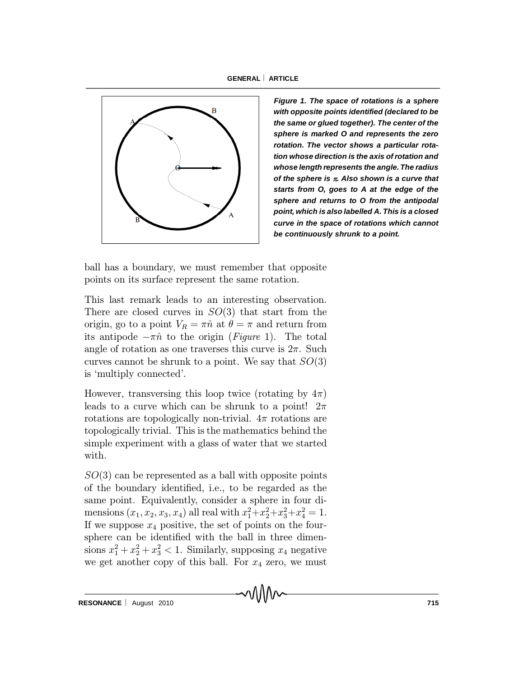

*Figure 1. The space of rotations is a sphere with opposite points identified (declared to be the same or glued together). The center of the sphere is marked O and represents the zero rotation. The vector shows a particular rotation whose direction is the axis of rotation and whose length represents the angle. The radius of the sphere is . Also shown is a curve that starts from O, goes to A at the edge of the sphere and returns to O from the antipodal point, which is also labelled A. This is a closed curve in the space of rotations which cannot be continuously shrunk to a point.*

ball has a boundary, we must remember that opposite points on its surface represent the same rotation.

This last remark leads to an interesting observation. There are closed curves in  $SO(3)$  that start from the origin, go to a point  $V_R = \pi \hat{n}$  at  $\theta = \pi$  and return from its antipode  $-\pi \hat{n}$  to the origin (Figure 1). The total angle of rotation as one traverses this curve is  $2\pi$ . Such curves cannot be shrunk to a point. We say that  $SO(3)$ is `multiply connected'.

However, transversing this loop twice (rotating by  $4\pi$ ) leads to a curve which can be shrunk to a point!  $2\pi$ rotations are topologically non-trivial.  $4\pi$  rotations are topologically trivial. This is the mathematics behind the simple experiment with a glass of water that we started with.

 $SO(3)$  can be represented as a ball with opposite points of the boundary identified, i.e., to be regarded as the same point. Equivalently, consider a sphere in four dimensions  $(x_1, x_2, x_3, x_4)$  all real with  $x_1^2+x_2^2+x_3^2+x_4^2=1$ . If we suppose  $x_4$  positive, the set of points on the foursphere can be identified with the ball in three dimensions  $x_1^2 + x_2^2 + x_3^2 < 1$ . Similarly, supposing  $x_4$  negative we get another copy of this ball. For  $x_4$  zero, we must

MM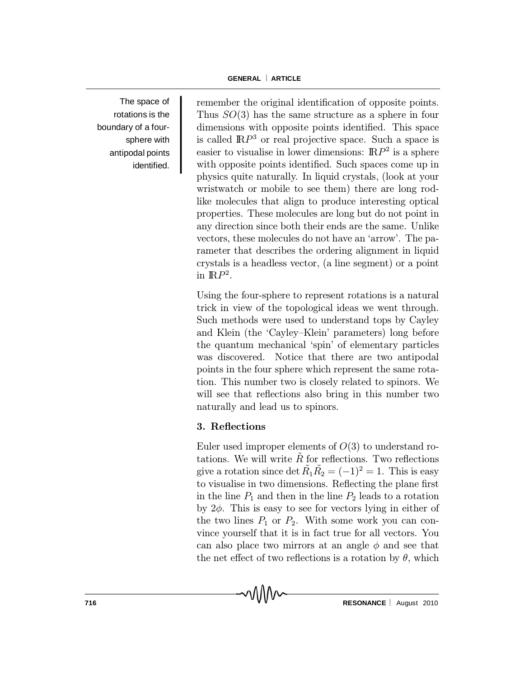The space of rotations is the boundary of a foursphere with antipodal points identified. remember the original identification of opposite points. Thus  $SO(3)$  has the same structure as a sphere in four dimensions with opposite points identified. This space is called  $\mathbb{R}P^3$  or real projective space. Such a space is easier to visualise in lower dimensions:  $\mathbb{R}P^2$  is a sphere with opposite points identified. Such spaces come up in physics quite naturally. In liquid crystals, (look at your wristwatch or mobile to see them) there are long rodlike molecules that align to produce interesting optical properties. These molecules are long but do not point in any direction since both their ends are the same. Unlike vectors, these molecules do not have an `arrow'. The parameter that describes the ordering alignment in liquid crystals is a headless vector, (a line segment) or a point in  $\mathbb{R}P^2$ .

Using the four-sphere to represent rotations is a natural trick in view of the topological ideas we went through. Such methods were used to understand tops by Cayley and Klein (the 'Cayley-Klein' parameters) long before the quantum mechanical `spin' of elementary particles was discovered. Notice that there are two antipodal points in the four sphere which represent the same rotation. This number two is closely related to spinors. We will see that reflections also bring in this number two naturally and lead us to spinors.

# 3. Reflections

MM

Euler used improper elements of  $O(3)$  to understand rotations. We will write  $R~$  for reflections. Two reflections give a rotation since  $\det \tilde{R}_1 \tilde{R}_2 = (-1)^2 = 1$ . This is easy to visualise in two dimensions. Reflecting the plane first in the line  $P_1$  and then in the line  $P_2$  leads to a rotation by  $2\phi$ . This is easy to see for vectors lying in either of the two lines  $P_1$  or  $P_2$ . With some work you can convince yourself that it is in fact true for all vectors. You can also place two mirrors at an angle  $\phi$  and see that the net effect of two reflections is a rotation by  $\theta$ , which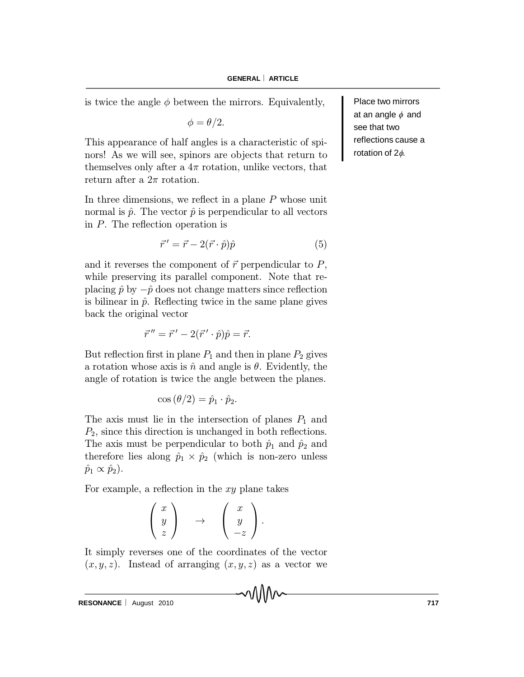is twice the angle  $\phi$  between the mirrors. Equivalently,

$$
\phi = \theta/2.
$$

This appearance of half angles is a characteristic of spinors! As we will see, spinors are objects that return to themselves only after a  $4\pi$  rotation, unlike vectors, that return after a  $2\pi$  rotation.

In three dimensions, we reflect in a plane  $P$  whose unit normal is  $\hat{p}$ . The vector  $\hat{p}$  is perpendicular to all vectors in  $P$ . The reflection operation is

$$
\vec{r}' = \vec{r} - 2(\vec{r} \cdot \hat{p})\hat{p} \tag{5}
$$

and it reverses the component of  $\vec{r}$  perpendicular to  $P$ , while preserving its parallel component. Note that replacing  $\hat{p}$  by  $-\hat{p}$  does not change matters since reflection is bilinear in  $\hat{p}$ . Reflecting twice in the same plane gives back the original vector

$$
\vec{r}'' = \vec{r}' - 2(\vec{r}' \cdot \hat{p})\hat{p} = \vec{r}.
$$

But reflection first in plane  $P_1$  and then in plane  $P_2$  gives a rotation whose axis is  $\hat{n}$  and angle is  $\theta$ . Evidently, the angle of rotation is twice the angle between the planes.

$$
\cos(\theta/2) = \hat{p}_1 \cdot \hat{p}_2.
$$

The axis must lie in the intersection of planes  $P_1$  and  $P_2$ , since this direction is unchanged in both reflections. The axis must be perpendicular to both  $\hat{p}_1$  and  $\hat{p}_2$  and therefore lies along  $\hat{p}_1 \times \hat{p}_2$  (which is non-zero unless  $\hat{p}_1 \propto \hat{p}_2$ ).

For example, a reflection in the  $xy$  plane takes

$$
\left(\begin{array}{c} x \\ y \\ z \end{array}\right) \rightarrow \left(\begin{array}{c} x \\ y \\ -z \end{array}\right).
$$

It simply reverses one of the coordinates of the vector  $(x, y, z)$ . Instead of arranging  $(x, y, z)$  as a vector we

Place two mirrors at an angle  $\phi$  and see that two reflections cause a rotation of  $2\phi$ .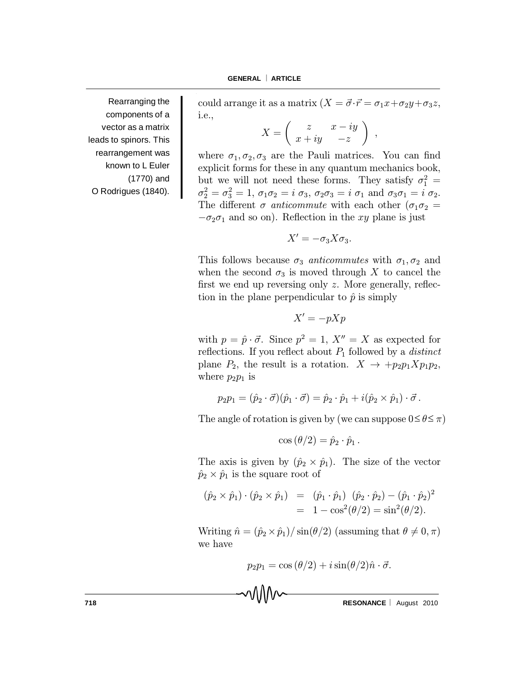Rearranging the components of a vector as a matrix leads to spinors. This rearrangement was known to L Euler (1770) and O Rodrigues (1840).

could arrange it as a matrix  $(X = \vec{\sigma} \cdot \vec{r} = \sigma_1 x + \sigma_2 y + \sigma_3 z,$ i.e.,

$$
X = \left( \begin{array}{cc} z & x - iy \\ x + iy & -z \end{array} \right) ,
$$

where  $\sigma_1, \sigma_2, \sigma_3$  are the Pauli matrices. You can find explicit forms for these in any quantum mechanics book, but we will not need these forms. They satisfy  $\sigma_1^2 =$  $\sigma_2^2 = \sigma_3^2 = 1, \, \sigma_1 \sigma_2 = i \, \sigma_3, \, \sigma_2 \sigma_3 = i \, \sigma_1 \text{ and } \sigma_3 \sigma_1 = i \, \sigma_2.$ The different  $\sigma$  anticommute with each other ( $\sigma_1 \sigma_2$  =  $-\sigma_2\sigma_1$  and so on). Reflection in the xy plane is just

$$
X'=-\sigma_3X\sigma_3.
$$

This follows because  $\sigma_3$  anticommutes with  $\sigma_1, \sigma_2$  and when the second  $\sigma_3$  is moved through X to cancel the first we end up reversing only  $z$ . More generally, reflection in the plane perpendicular to  $\hat{p}$  is simply

$$
X' = -pXp
$$

with  $p = \hat{p} \cdot \vec{\sigma}$ . Since  $p^2 = 1, X'' = X$  as expected for reflections. If you reflect about  $P_1$  followed by a *distinct* plane  $P_2$ , the result is a rotation.  $X \to +p_2p_1Xp_1p_2$ , where  $p_2p_1$  is

$$
p_2p_1=(\hat{p}_2\cdot\vec{\sigma})(\hat{p}_1\cdot\vec{\sigma})=\hat{p}_2\cdot\hat{p}_1+i(\hat{p}_2\times\hat{p}_1)\cdot\vec{\sigma}.
$$

The angle of rotation is given by (we can suppose  $0 \le \theta \le \pi$ )

$$
\cos(\theta/2) = \hat{p}_2 \cdot \hat{p}_1.
$$

The axis is given by  $(\hat{p}_2 \times \hat{p}_1)$ . The size of the vector  $\hat{p}_2 \times \hat{p}_1$  is the square root of

$$
(\hat{p}_2 \times \hat{p}_1) \cdot (\hat{p}_2 \times \hat{p}_1) = (\hat{p}_1 \cdot \hat{p}_1) (\hat{p}_2 \cdot \hat{p}_2) - (\hat{p}_1 \cdot \hat{p}_2)^2
$$
  
= 1 - cos<sup>2</sup>( $\theta$ /2) = sin<sup>2</sup>( $\theta$ /2).

Writing  $\hat{n} = (\hat{p}_2 \times \hat{p}_1)/\sin(\theta/2)$  (assuming that  $\theta \neq 0, \pi$ ) we have

$$
p_2p_1=\cos(\theta/2)+i\sin(\theta/2)\hat{n}\cdot\vec{\sigma}.
$$

**718 RESONANCE** August 2010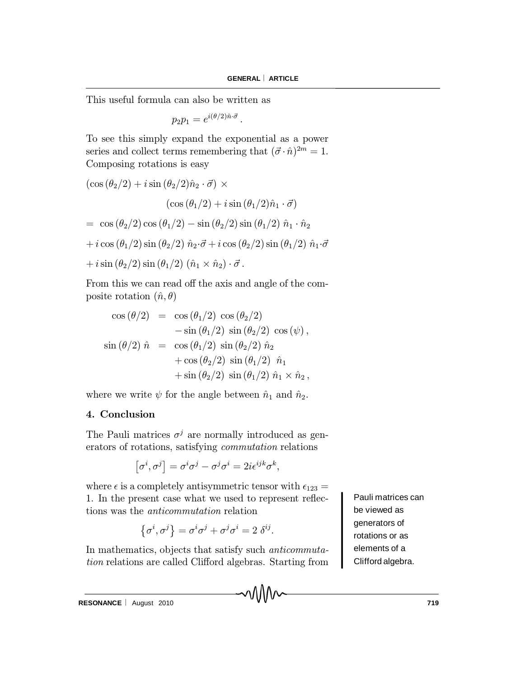This useful formula can also be written as

$$
p_2p_1=e^{i(\theta/2)\hat{n}\cdot\vec{\sigma}}.
$$

To see this simply expand the exponential as a power series and collect terms remembering that  $(\vec{\sigma} \cdot \hat{n})^{2m} = 1$ . Composing rotations is easy

$$
(\cos(\theta_2/2) + i \sin(\theta_2/2)\hat{n}_2 \cdot \vec{\sigma}) \times
$$
  
\n
$$
(\cos(\theta_1/2) + i \sin(\theta_1/2)\hat{n}_1 \cdot \vec{\sigma})
$$
  
\n
$$
= \cos(\theta_2/2) \cos(\theta_1/2) - \sin(\theta_2/2) \sin(\theta_1/2) \hat{n}_1 \cdot \hat{n}_2
$$
  
\n
$$
+ i \cos(\theta_1/2) \sin(\theta_2/2) \hat{n}_2 \cdot \vec{\sigma} + i \cos(\theta_2/2) \sin(\theta_1/2) \hat{n}_1 \cdot \vec{\sigma}
$$
  
\n
$$
+ i \sin(\theta_2/2) \sin(\theta_1/2) (\hat{n}_1 \times \hat{n}_2) \cdot \vec{\sigma}.
$$

From this we can read off the axis and angle of the composite rotation  $(\hat{n}, \theta)$ 

$$
\cos (\theta/2) = \cos (\theta_1/2) \cos (\theta_2/2)
$$
  
\n
$$
-\sin (\theta_1/2) \sin (\theta_2/2) \cos (\psi),
$$
  
\n
$$
\sin (\theta/2) \hat{n} = \cos (\theta_1/2) \sin (\theta_2/2) \hat{n}_2
$$
  
\n
$$
+\cos (\theta_2/2) \sin (\theta_1/2) \hat{n}_1
$$
  
\n
$$
+\sin (\theta_2/2) \sin (\theta_1/2) \hat{n}_1 \times \hat{n}_2,
$$

where we write  $\psi$  for the angle between  $\hat{n}_1$  and  $\hat{n}_2$ .

# 4. Conclusion

The Pauli matrices  $\sigma^j$  are normally introduced as generators of rotations, satisfying commutation relations

$$
[\sigma^i, \sigma^j] = \sigma^i \sigma^j - \sigma^j \sigma^i = 2i \epsilon^{ijk} \sigma^k,
$$

where  $\epsilon$  is a completely antisymmetric tensor with  $\epsilon_{123} =$ 1. In the present case what we used to represent reflections was the anticommutation relation

$$
\{\sigma^i, \sigma^j\} = \sigma^i \sigma^j + \sigma^j \sigma^i = 2 \delta^{ij}.
$$

In mathematics, objects that satisfy such anticommutation relations are called Clifford algebras. Starting from Pauli matrices can be viewed as generators of rotations or as elements of a Clifford algebra.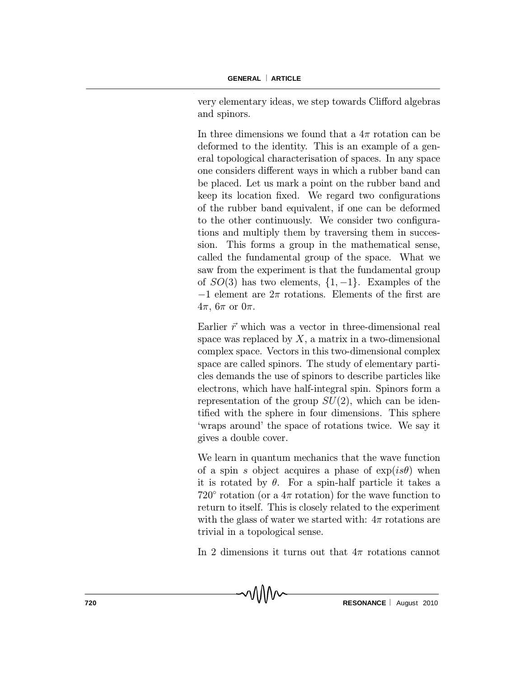very elementary ideas, we step towards Clifford algebras and spinors.

In three dimensions we found that a  $4\pi$  rotation can be deformed to the identity. This is an example of a general topological characterisation of spaces. In any space one considers different ways in which a rubber band can be placed. Let us mark a point on the rubber band and keep its location fixed. We regard two configurations of the rubber band equivalent, if one can be deformed to the other continuously. We consider two configurations and multiply them by traversing them in succession. This forms a group in the mathematical sense, called the fundamental group of the space. What we saw from the experiment is that the fundamental group of  $SO(3)$  has two elements,  $\{1, -1\}$ . Examples of the  $-1$  element are  $2\pi$  rotations. Elements of the first are  $4\pi$ ,  $6\pi$  or  $0\pi$ .

Earlier  $\vec{r}$  which was a vector in three-dimensional real space was replaced by  $X$ , a matrix in a two-dimensional complex space. Vectors in this two-dimensional complex space are called spinors. The study of elementary particles demands the use of spinors to describe particles like electrons, which have half-integral spin. Spinors form a representation of the group  $SU(2)$ , which can be identified with the sphere in four dimensions. This sphere `wraps around' the space of rotations twice. We say it gives a double cover.

We learn in quantum mechanics that the wave function of a spin s object acquires a phase of  $exp(is\theta)$  when it is rotated by  $\theta$ . For a spin-half particle it takes a 720 $^{\circ}$  rotation (or a  $4\pi$  rotation) for the wave function to return to itself. This is closely related to the experiment with the glass of water we started with:  $4\pi$  rotations are trivial in a topological sense.

In 2 dimensions it turns out that  $4\pi$  rotations cannot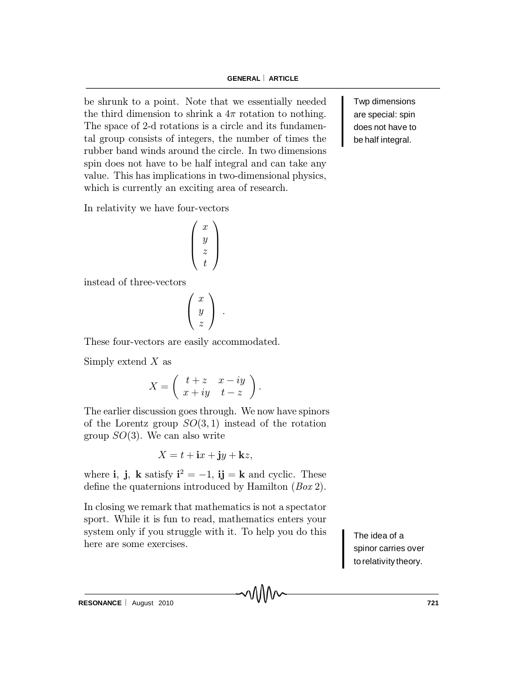be shrunk to a point. Note that we essentially needed the third dimension to shrink a  $4\pi$  rotation to nothing. The space of 2-d rotations is a circle and its fundamental group consists of integers, the number of times the rubber band winds around the circle. In two dimensions spin does not have to be half integral and can take any value. This has implications in two-dimensional physics, which is currently an exciting area of research.

In relativity we have four-vectors

$$
\left(\begin{array}{c} x \\ y \\ z \\ t \end{array}\right)
$$

instead of three-vectors

$$
\left(\begin{array}{c} x \\ y \\ z \end{array}\right) .
$$

These four-vectors are easily accommodated.

Simply extend  $X$  as

$$
X = \left( \begin{array}{cc} t+z & x-iy \\ x+iy & t-z \end{array} \right).
$$

The earlier discussion goes through. We now have spinors of the Lorentz group  $SO(3,1)$  instead of the rotation group  $SO(3)$ . We can also write

$$
X = t + \mathbf{i}x + \mathbf{j}y + \mathbf{k}z,
$$

where **i**, **j**, **k** satisfy  $\mathbf{i}^2 = -1$ , **ij** = **k** and cyclic. These define the quaternions introduced by Hamilton  $(Box 2)$ .

In closing we remark that mathematics is not a spectator sport. While it is fun to read, mathematics enters your system only if you struggle with it. To help you do this here are some exercises.

The idea of a spinor carries over torelativity theory.

Twp dimensions are special: spin does not have to be half integral.